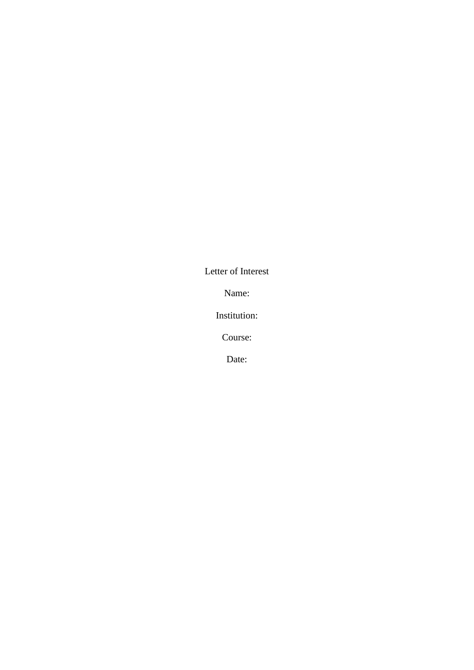Letter of Interest

Name:

Institution:

Course:

Date: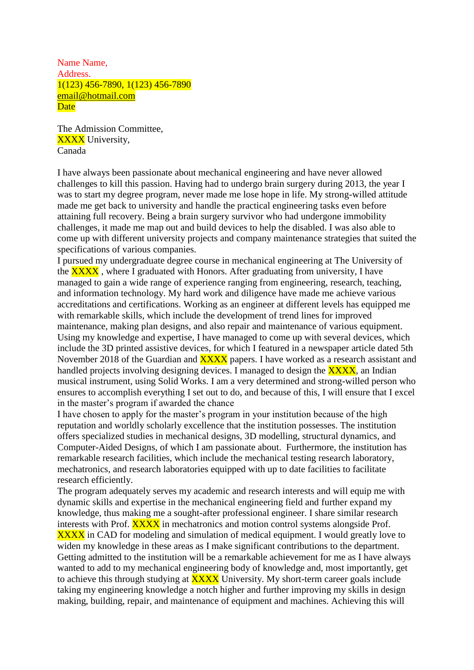Name Name, Address. 1(123) 456-7890, 1(123) 456-7890 email@hotmail.com **Date** 

The Admission Committee, **XXXX** University, Canada

I have always been passionate about mechanical engineering and have never allowed challenges to kill this passion. Having had to undergo brain surgery during 2013, the year I was to start my degree program, never made me lose hope in life. My strong-willed attitude made me get back to university and handle the practical engineering tasks even before attaining full recovery. Being a brain surgery survivor who had undergone immobility challenges, it made me map out and build devices to help the disabled. I was also able to come up with different university projects and company maintenance strategies that suited the specifications of various companies.

I pursued my undergraduate degree course in mechanical engineering at The University of the **XXXX**, where I graduated with Honors. After graduating from university, I have managed to gain a wide range of experience ranging from engineering, research, teaching, and information technology. My hard work and diligence have made me achieve various accreditations and certifications. Working as an engineer at different levels has equipped me with remarkable skills, which include the development of trend lines for improved maintenance, making plan designs, and also repair and maintenance of various equipment. Using my knowledge and expertise, I have managed to come up with several devices, which include the 3D printed assistive devices, for which I featured in a newspaper article dated 5th November 2018 of the Guardian and **XXXX** papers. I have worked as a research assistant and handled projects involving designing devices. I managed to design the **XXXX**, an Indian musical instrument, using Solid Works. I am a very determined and strong-willed person who ensures to accomplish everything I set out to do, and because of this, I will ensure that I excel in the master's program if awarded the chance

I have chosen to apply for the master's program in your institution because of the high reputation and worldly scholarly excellence that the institution possesses. The institution offers specialized studies in mechanical designs, 3D modelling, structural dynamics, and Computer-Aided Designs, of which I am passionate about. Furthermore, the institution has remarkable research facilities, which include the mechanical testing research laboratory, mechatronics, and research laboratories equipped with up to date facilities to facilitate research efficiently.

The program adequately serves my academic and research interests and will equip me with dynamic skills and expertise in the mechanical engineering field and further expand my knowledge, thus making me a sought-after professional engineer. I share similar research interests with Prof. **XXXX** in mechatronics and motion control systems alongside Prof. **XXXX** in CAD for modeling and simulation of medical equipment. I would greatly love to widen my knowledge in these areas as I make significant contributions to the department. Getting admitted to the institution will be a remarkable achievement for me as I have always wanted to add to my mechanical engineering body of knowledge and, most importantly, get to achieve this through studying at **XXXX** University. My short-term career goals include taking my engineering knowledge a notch higher and further improving my skills in design making, building, repair, and maintenance of equipment and machines. Achieving this will